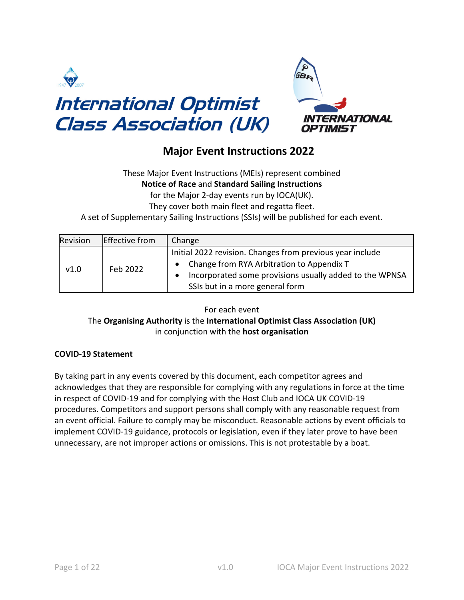



# **Major Event Instructions 2022**

These Major Event Instructions (MEIs) represent combined **Notice of Race** and **Standard Sailing Instructions** for the Major 2-day events run by IOCA(UK).

They cover both main fleet and regatta fleet.

A set of Supplementary Sailing Instructions (SSIs) will be published for each event.

| Revision | <b>Effective from</b> | Change                                                    |
|----------|-----------------------|-----------------------------------------------------------|
| v1.0     | Feb 2022              | Initial 2022 revision. Changes from previous year include |
|          |                       | Change from RYA Arbitration to Appendix T                 |
|          |                       | Incorporated some provisions usually added to the WPNSA   |
|          |                       | SSIs but in a more general form                           |

For each event

# The **Organising Authority** is the **International Optimist Class Association (UK)** in conjunction with the **host organisation**

# **COVID-19 Statement**

By taking part in any events covered by this document, each competitor agrees and acknowledges that they are responsible for complying with any regulations in force at the time in respect of COVID-19 and for complying with the Host Club and IOCA UK COVID-19 procedures. Competitors and support persons shall comply with any reasonable request from an event official. Failure to comply may be misconduct. Reasonable actions by event officials to implement COVID-19 guidance, protocols or legislation, even if they later prove to have been unnecessary, are not improper actions or omissions. This is not protestable by a boat.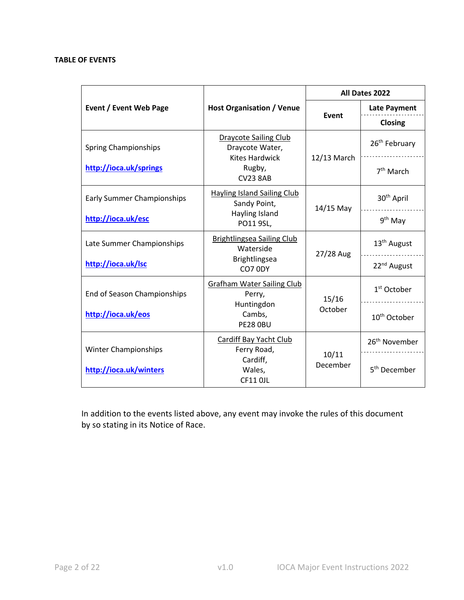## **TABLE OF EVENTS**

|                                    |                                                                          | All Dates 2022    |                           |
|------------------------------------|--------------------------------------------------------------------------|-------------------|---------------------------|
| Event / Event Web Page             | <b>Host Organisation / Venue</b>                                         | Event             | <b>Late Payment</b>       |
|                                    |                                                                          |                   | Closing                   |
| <b>Spring Championships</b>        | <b>Draycote Sailing Club</b><br>Draycote Water,<br><b>Kites Hardwick</b> |                   | 26 <sup>th</sup> February |
| http://ioca.uk/springs             | Rugby,<br><b>CV23 8AB</b>                                                | 12/13 March       | 7 <sup>th</sup> March     |
| <b>Early Summer Championships</b>  | <b>Hayling Island Sailing Club</b><br>Sandy Point,                       | $14/15$ May       | 30 <sup>th</sup> April    |
| http://ioca.uk/esc                 | Hayling Island<br>PO11 9SL,                                              |                   | 9 <sup>th</sup> May       |
| Late Summer Championships          | Brightlingsea Sailing Club<br>Waterside                                  | 27/28 Aug         | 13 <sup>th</sup> August   |
| http://ioca.uk/lsc                 | Brightlingsea<br>CO7 0DY                                                 |                   | 22 <sup>nd</sup> August   |
| <b>End of Season Championships</b> | <b>Grafham Water Sailing Club</b><br>Perry,                              | 15/16             | $1st$ October             |
| http://ioca.uk/eos                 | Huntingdon<br>Cambs,<br><b>PE28 OBU</b>                                  | October           | 10 <sup>th</sup> October  |
| <b>Winter Championships</b>        | Cardiff Bay Yacht Club<br>Ferry Road,                                    |                   | 26 <sup>th</sup> November |
| http://ioca.uk/winters             | Cardiff,<br>Wales,<br><b>CF11 OJL</b>                                    | 10/11<br>December | 5 <sup>th</sup> December  |

In addition to the events listed above, any event may invoke the rules of this document by so stating in its Notice of Race.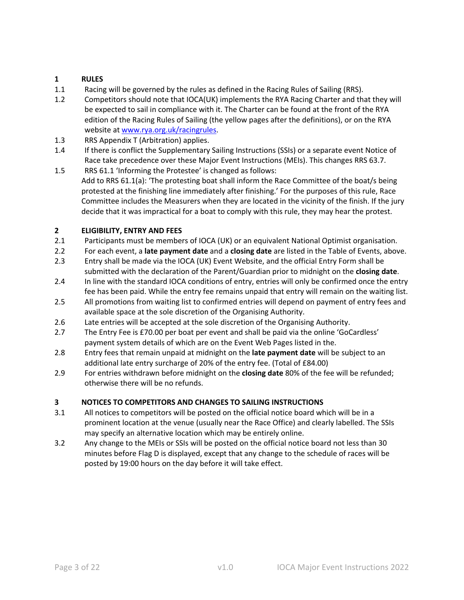# **1 RULES**

- 1.1 Racing will be governed by the rules as defined in the Racing Rules of Sailing (RRS).
- 1.2 Competitors should note that IOCA(UK) implements the RYA Racing Charter and that they will be expected to sail in compliance with it. The Charter can be found at the front of the RYA edition of the Racing Rules of Sailing (the yellow pages after the definitions), or on the RYA website at www.rya.org.uk/racingrules.
- 1.3 RRS Appendix T (Arbitration) applies.
- 1.4 If there is conflict the Supplementary Sailing Instructions (SSIs) or a separate event Notice of Race take precedence over these Major Event Instructions (MEIs). This changes RRS 63.7.
- 1.5 RRS 61.1 'Informing the Protestee' is changed as follows: Add to RRS 61.1(a): 'The protesting boat shall inform the Race Committee of the boat/s being protested at the finishing line immediately after finishing.' For the purposes of this rule, Race Committee includes the Measurers when they are located in the vicinity of the finish. If the jury decide that it was impractical for a boat to comply with this rule, they may hear the protest.

# **2 ELIGIBILITY, ENTRY AND FEES**

- 2.1 Participants must be members of IOCA (UK) or an equivalent National Optimist organisation.
- 2.2 For each event, a **late payment date** and a **closing date** are listed in the Table of Events, above.
- 2.3 Entry shall be made via the IOCA (UK) Event Website, and the official Entry Form shall be submitted with the declaration of the Parent/Guardian prior to midnight on the **closing date**.
- 2.4 In line with the standard IOCA conditions of entry, entries will only be confirmed once the entry fee has been paid. While the entry fee remains unpaid that entry will remain on the waiting list.
- 2.5 All promotions from waiting list to confirmed entries will depend on payment of entry fees and available space at the sole discretion of the Organising Authority.
- 2.6 Late entries will be accepted at the sole discretion of the Organising Authority.
- 2.7 The Entry Fee is £70.00 per boat per event and shall be paid via the online 'GoCardless' payment system details of which are on the Event Web Pages listed in the.
- 2.8 Entry fees that remain unpaid at midnight on the **late payment date** will be subject to an additional late entry surcharge of 20% of the entry fee. (Total of £84.00)
- 2.9 For entries withdrawn before midnight on the **closing date** 80% of the fee will be refunded; otherwise there will be no refunds.

## **3 NOTICES TO COMPETITORS AND CHANGES TO SAILING INSTRUCTIONS**

- 3.1 All notices to competitors will be posted on the official notice board which will be in a prominent location at the venue (usually near the Race Office) and clearly labelled. The SSIs may specify an alternative location which may be entirely online.
- 3.2 Any change to the MEIs or SSIs will be posted on the official notice board not less than 30 minutes before Flag D is displayed, except that any change to the schedule of races will be posted by 19:00 hours on the day before it will take effect.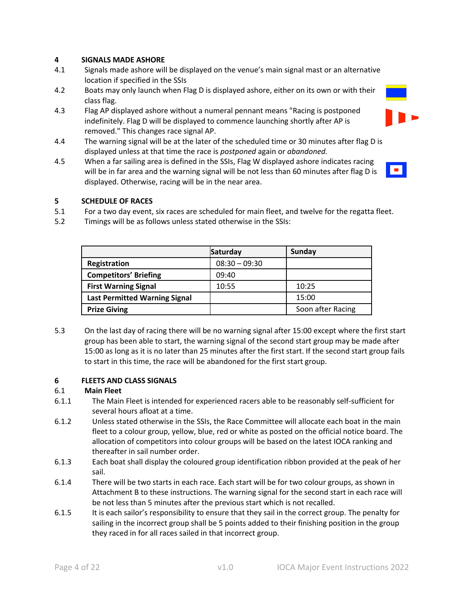## **4 SIGNALS MADE ASHORE**

- 4.1 Signals made ashore will be displayed on the venue's main signal mast or an alternative location if specified in the SSIs
- 4.2 Boats may only launch when Flag D is displayed ashore, either on its own or with their class flag.
- 4.3 Flag AP displayed ashore without a numeral pennant means "Racing is postponed indefinitely. Flag D will be displayed to commence launching shortly after AP is removed." This changes race signal AP.
- 4.4 The warning signal will be at the later of the scheduled time or 30 minutes after flag D is displayed unless at that time the race is *postponed* again or *abandoned.*
- 4.5 When a far sailing area is defined in the SSIs, Flag W displayed ashore indicates racing will be in far area and the warning signal will be not less than 60 minutes after flag D is displayed. Otherwise, racing will be in the near area.



## **5 SCHEDULE OF RACES**

- 5.1 For a two day event, six races are scheduled for main fleet, and twelve for the regatta fleet.
- 5.2 Timings will be as follows unless stated otherwise in the SSIs:

|                                      | Saturday        | Sunday            |
|--------------------------------------|-----------------|-------------------|
| <b>Registration</b>                  | $08:30 - 09:30$ |                   |
| <b>Competitors' Briefing</b>         | 09:40           |                   |
| <b>First Warning Signal</b>          | 10:55           | 10:25             |
| <b>Last Permitted Warning Signal</b> |                 | 15:00             |
| <b>Prize Giving</b>                  |                 | Soon after Racing |

5.3 On the last day of racing there will be no warning signal after 15:00 except where the first start group has been able to start, the warning signal of the second start group may be made after 15:00 as long as it is no later than 25 minutes after the first start. If the second start group fails to start in this time, the race will be abandoned for the first start group.

## **6 FLEETS AND CLASS SIGNALS**

## 6.1 **Main Fleet**

- 6.1.1 The Main Fleet is intended for experienced racers able to be reasonably self-sufficient for several hours afloat at a time.
- 6.1.2 Unless stated otherwise in the SSIs, the Race Committee will allocate each boat in the main fleet to a colour group, yellow, blue, red or white as posted on the official notice board. The allocation of competitors into colour groups will be based on the latest IOCA ranking and thereafter in sail number order.
- 6.1.3 Each boat shall display the coloured group identification ribbon provided at the peak of her sail.
- 6.1.4 There will be two starts in each race. Each start will be for two colour groups, as shown in Attachment B to these instructions. The warning signal for the second start in each race will be not less than 5 minutes after the previous start which is not recalled.
- 6.1.5 It is each sailor's responsibility to ensure that they sail in the correct group. The penalty for sailing in the incorrect group shall be 5 points added to their finishing position in the group they raced in for all races sailed in that incorrect group.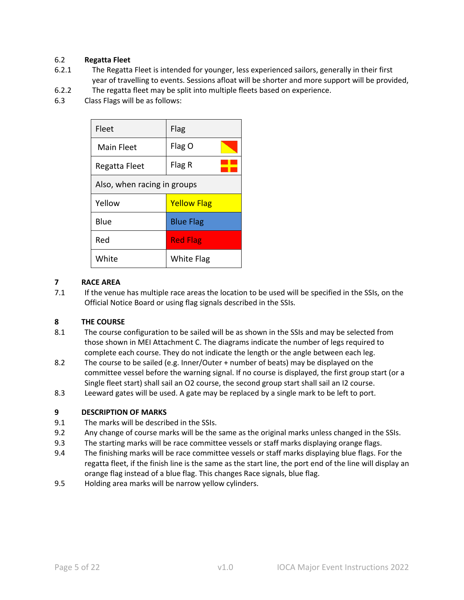## 6.2 **Regatta Fleet**

- 6.2.1 The Regatta Fleet is intended for younger, less experienced sailors, generally in their first year of travelling to events. Sessions afloat will be shorter and more support will be provided,
- 6.2.2 The regatta fleet may be split into multiple fleets based on experience.
- 6.3 Class Flags will be as follows:

| Fleet                       | Flag               |  |
|-----------------------------|--------------------|--|
| Main Fleet                  | Flag O             |  |
| Regatta Fleet               | Flag R             |  |
| Also, when racing in groups |                    |  |
| Yellow                      | <b>Yellow Flag</b> |  |
| Blue                        | <b>Blue Flag</b>   |  |
| Red                         | <b>Red Flag</b>    |  |
| White                       | <b>White Flag</b>  |  |

## **7 RACE AREA**

7.1 If the venue has multiple race areas the location to be used will be specified in the SSIs, on the Official Notice Board or using flag signals described in the SSIs.

## **8 THE COURSE**

- 8.1 The course configuration to be sailed will be as shown in the SSIs and may be selected from those shown in MEI Attachment C. The diagrams indicate the number of legs required to complete each course. They do not indicate the length or the angle between each leg.
- 8.2 The course to be sailed (e.g. Inner/Outer + number of beats) may be displayed on the committee vessel before the warning signal. If no course is displayed, the first group start (or a Single fleet start) shall sail an O2 course, the second group start shall sail an I2 course.
- 8.3 Leeward gates will be used. A gate may be replaced by a single mark to be left to port.

## **9 DESCRIPTION OF MARKS**

- 9.1 The marks will be described in the SSIs.
- 9.2 Any change of course marks will be the same as the original marks unless changed in the SSIs.
- 9.3 The starting marks will be race committee vessels or staff marks displaying orange flags.
- 9.4 The finishing marks will be race committee vessels or staff marks displaying blue flags. For the regatta fleet, if the finish line is the same as the start line, the port end of the line will display an orange flag instead of a blue flag. This changes Race signals, blue flag.
- 9.5 Holding area marks will be narrow yellow cylinders.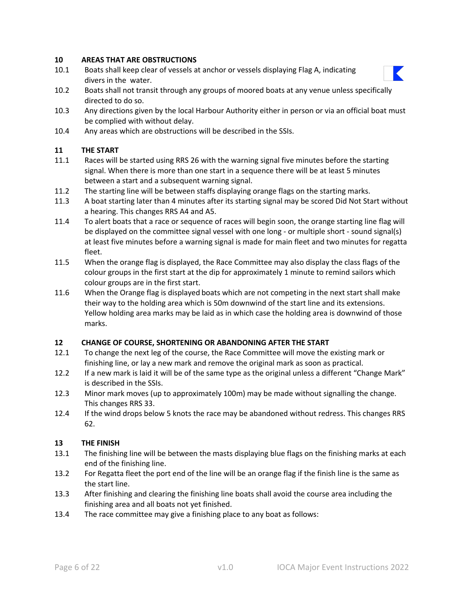## **10 AREAS THAT ARE OBSTRUCTIONS**

- 10.1 Boats shall keep clear of vessels at anchor or vessels displaying Flag A, indicating divers in the water.
- 10.2 Boats shall not transit through any groups of moored boats at any venue unless specifically directed to do so.
- 10.3 Any directions given by the local Harbour Authority either in person or via an official boat must be complied with without delay.
- 10.4 Any areas which are obstructions will be described in the SSIs.

## **11 THE START**

- 11.1 Races will be started using RRS 26 with the warning signal five minutes before the starting signal. When there is more than one start in a sequence there will be at least 5 minutes between a start and a subsequent warning signal.
- 11.2 The starting line will be between staffs displaying orange flags on the starting marks.
- 11.3 A boat starting later than 4 minutes after its starting signal may be scored Did Not Start without a hearing. This changes RRS A4 and A5.
- 11.4 To alert boats that a race or sequence of races will begin soon, the orange starting line flag will be displayed on the committee signal vessel with one long - or multiple short - sound signal(s) at least five minutes before a warning signal is made for main fleet and two minutes for regatta fleet.
- 11.5 When the orange flag is displayed, the Race Committee may also display the class flags of the colour groups in the first start at the dip for approximately 1 minute to remind sailors which colour groups are in the first start.
- 11.6 When the Orange flag is displayed boats which are not competing in the next start shall make their way to the holding area which is 50m downwind of the start line and its extensions. Yellow holding area marks may be laid as in which case the holding area is downwind of those marks.

## **12 CHANGE OF COURSE, SHORTENING OR ABANDONING AFTER THE START**

- 12.1 To change the next leg of the course, the Race Committee will move the existing mark or finishing line, or lay a new mark and remove the original mark as soon as practical.
- 12.2 If a new mark is laid it will be of the same type as the original unless a different "Change Mark" is described in the SSIs.
- 12.3 Minor mark moves (up to approximately 100m) may be made without signalling the change. This changes RRS 33.
- 12.4 If the wind drops below 5 knots the race may be abandoned without redress. This changes RRS 62.

## **13 THE FINISH**

- 13.1 The finishing line will be between the masts displaying blue flags on the finishing marks at each end of the finishing line.
- 13.2 For Regatta fleet the port end of the line will be an orange flag if the finish line is the same as the start line.
- 13.3 After finishing and clearing the finishing line boats shall avoid the course area including the finishing area and all boats not yet finished.
- 13.4 The race committee may give a finishing place to any boat as follows:

K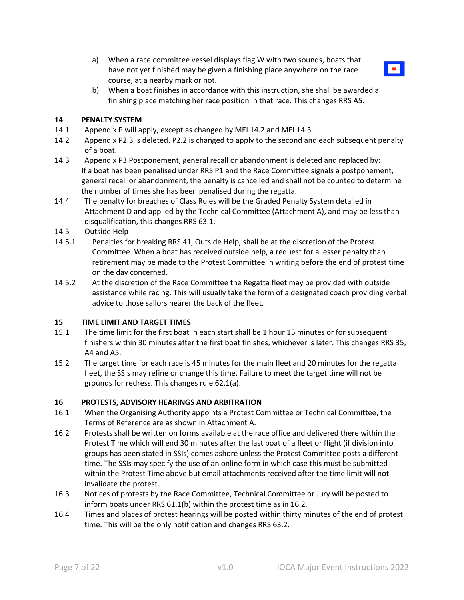a) When a race committee vessel displays flag W with two sounds, boats that have not yet finished may be given a finishing place anywhere on the race course, at a nearby mark or not.



b) When a boat finishes in accordance with this instruction, she shall be awarded a finishing place matching her race position in that race. This changes RRS A5.

#### **14 PENALTY SYSTEM**

- 14.1 Appendix P will apply, except as changed by MEI 14.2 and MEI 14.3.
- 14.2 Appendix P2.3 is deleted. P2.2 is changed to apply to the second and each subsequent penalty of a boat.
- 14.3 Appendix P3 Postponement, general recall or abandonment is deleted and replaced by: If a boat has been penalised under RRS P1 and the Race Committee signals a postponement, general recall or abandonment, the penalty is cancelled and shall not be counted to determine the number of times she has been penalised during the regatta.
- 14.4 The penalty for breaches of Class Rules will be the Graded Penalty System detailed in Attachment D and applied by the Technical Committee (Attachment A), and may be less than disqualification, this changes RRS 63.1.
- 14.5 Outside Help
- 14.5.1 Penalties for breaking RRS 41, Outside Help, shall be at the discretion of the Protest Committee. When a boat has received outside help, a request for a lesser penalty than retirement may be made to the Protest Committee in writing before the end of protest time on the day concerned.
- 14.5.2 At the discretion of the Race Committee the Regatta fleet may be provided with outside assistance while racing. This will usually take the form of a designated coach providing verbal advice to those sailors nearer the back of the fleet.

#### **15 TIME LIMIT AND TARGET TIMES**

- 15.1 The time limit for the first boat in each start shall be 1 hour 15 minutes or for subsequent finishers within 30 minutes after the first boat finishes, whichever is later. This changes RRS 35, A4 and A5.
- 15.2 The target time for each race is 45 minutes for the main fleet and 20 minutes for the regatta fleet, the SSIs may refine or change this time. Failure to meet the target time will not be grounds for redress. This changes rule 62.1(a).

#### **16 PROTESTS, ADVISORY HEARINGS AND ARBITRATION**

- 16.1 When the Organising Authority appoints a Protest Committee or Technical Committee, the Terms of Reference are as shown in Attachment A.
- 16.2 Protests shall be written on forms available at the race office and delivered there within the Protest Time which will end 30 minutes after the last boat of a fleet or flight (if division into groups has been stated in SSIs) comes ashore unless the Protest Committee posts a different time. The SSIs may specify the use of an online form in which case this must be submitted within the Protest Time above but email attachments received after the time limit will not invalidate the protest.
- 16.3 Notices of protests by the Race Committee, Technical Committee or Jury will be posted to inform boats under RRS 61.1(b) within the protest time as in 16.2.
- 16.4 Times and places of protest hearings will be posted within thirty minutes of the end of protest time. This will be the only notification and changes RRS 63.2.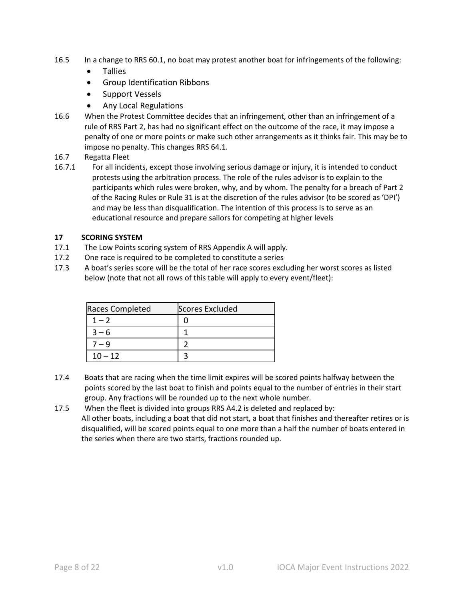- 16.5 In a change to RRS 60.1, no boat may protest another boat for infringements of the following:
	- Tallies
	- Group Identification Ribbons
	- Support Vessels
	- Any Local Regulations
- 16.6 When the Protest Committee decides that an infringement, other than an infringement of a rule of RRS Part 2, has had no significant effect on the outcome of the race, it may impose a penalty of one or more points or make such other arrangements as it thinks fair. This may be to impose no penalty. This changes RRS 64.1.
- 16.7 Regatta Fleet
- 16.7.1 For all incidents, except those involving serious damage or injury, it is intended to conduct protests using the arbitration process. The role of the rules advisor is to explain to the participants which rules were broken, why, and by whom. The penalty for a breach of Part 2 of the Racing Rules or Rule 31 is at the discretion of the rules advisor (to be scored as 'DPI') and may be less than disqualification. The intention of this process is to serve as an educational resource and prepare sailors for competing at higher levels

## **17 SCORING SYSTEM**

- 17.1 The Low Points scoring system of RRS Appendix A will apply.
- 17.2 One race is required to be completed to constitute a series
- 17.3 A boat's series score will be the total of her race scores excluding her worst scores as listed below (note that not all rows of this table will apply to every event/fleet):

| Races Completed | <b>Scores Excluded</b> |
|-----------------|------------------------|
| $1 - 2$         |                        |
| $3 - 6$         |                        |
| 7 — 9           |                        |
| $10 - 12$       |                        |

- 17.4 Boats that are racing when the time limit expires will be scored points halfway between the points scored by the last boat to finish and points equal to the number of entries in their start group. Any fractions will be rounded up to the next whole number.
- 17.5 When the fleet is divided into groups RRS A4.2 is deleted and replaced by: All other boats, including a boat that did not start, a boat that finishes and thereafter retires or is disqualified, will be scored points equal to one more than a half the number of boats entered in the series when there are two starts, fractions rounded up.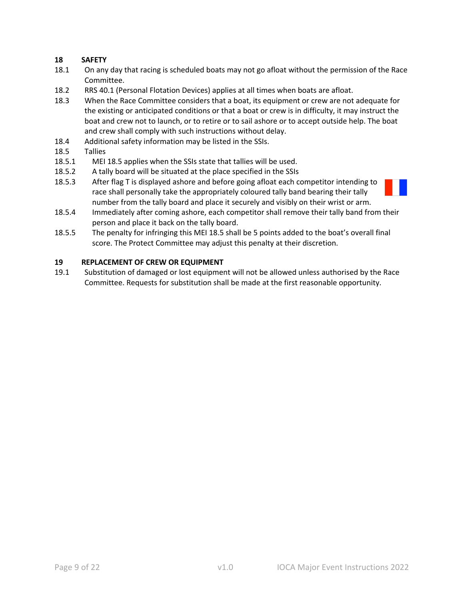# **18 SAFETY**

- 18.1 On any day that racing is scheduled boats may not go afloat without the permission of the Race Committee.
- 18.2 RRS 40.1 (Personal Flotation Devices) applies at all times when boats are afloat.
- 18.3 When the Race Committee considers that a boat, its equipment or crew are not adequate for the existing or anticipated conditions or that a boat or crew is in difficulty, it may instruct the boat and crew not to launch, or to retire or to sail ashore or to accept outside help. The boat and crew shall comply with such instructions without delay.
- 18.4 Additional safety information may be listed in the SSIs.
- 18.5 Tallies
- 18.5.1 MEI 18.5 applies when the SSIs state that tallies will be used.
- 18.5.2 A tally board will be situated at the place specified in the SSIs
- 18.5.3 After flag T is displayed ashore and before going afloat each competitor intending to race shall personally take the appropriately coloured tally band bearing their tally number from the tally board and place it securely and visibly on their wrist or arm.
- 18.5.4 Immediately after coming ashore, each competitor shall remove their tally band from their person and place it back on the tally board.
- 18.5.5 The penalty for infringing this MEI 18.5 shall be 5 points added to the boat's overall final score. The Protect Committee may adjust this penalty at their discretion.

## **19 REPLACEMENT OF CREW OR EQUIPMENT**

19.1 Substitution of damaged or lost equipment will not be allowed unless authorised by the Race Committee. Requests for substitution shall be made at the first reasonable opportunity.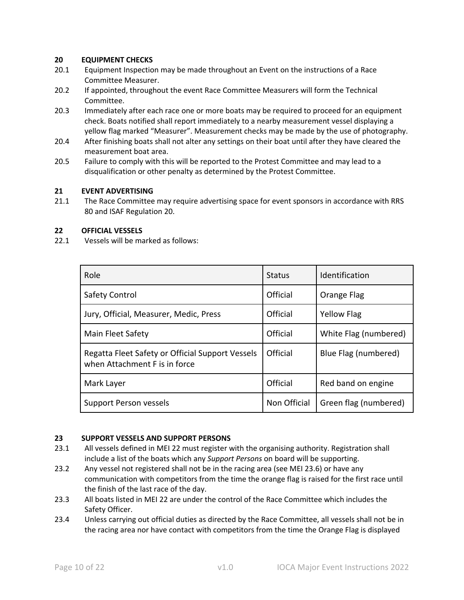## **20 EQUIPMENT CHECKS**

- 20.1 Equipment Inspection may be made throughout an Event on the instructions of a Race Committee Measurer.
- 20.2 If appointed, throughout the event Race Committee Measurers will form the Technical Committee.
- 20.3 Immediately after each race one or more boats may be required to proceed for an equipment check. Boats notified shall report immediately to a nearby measurement vessel displaying a yellow flag marked "Measurer". Measurement checks may be made by the use of photography.
- 20.4 After finishing boats shall not alter any settings on their boat until after they have cleared the measurement boat area.
- 20.5 Failure to comply with this will be reported to the Protest Committee and may lead to a disqualification or other penalty as determined by the Protest Committee.

## **21 EVENT ADVERTISING**

21.1 The Race Committee may require advertising space for event sponsors in accordance with RRS 80 and ISAF Regulation 20.

## **22 OFFICIAL VESSELS**

22.1 Vessels will be marked as follows:

| Role                                                                              | <b>Status</b> | Identification        |
|-----------------------------------------------------------------------------------|---------------|-----------------------|
| Safety Control                                                                    | Official      | Orange Flag           |
| Jury, Official, Measurer, Medic, Press                                            | Official      | <b>Yellow Flag</b>    |
| <b>Main Fleet Safety</b>                                                          | Official      | White Flag (numbered) |
| Regatta Fleet Safety or Official Support Vessels<br>when Attachment F is in force | Official      | Blue Flag (numbered)  |
| Mark Layer                                                                        | Official      | Red band on engine    |
| <b>Support Person vessels</b>                                                     | Non Official  | Green flag (numbered) |

## **23 SUPPORT VESSELS AND SUPPORT PERSONS**

- 23.1 All vessels defined in MEI 22 must register with the organising authority. Registration shall include a list of the boats which any *Support Persons* on board will be supporting.
- 23.2 Any vessel not registered shall not be in the racing area (see MEI 23.6) or have any communication with competitors from the time the orange flag is raised for the first race until the finish of the last race of the day.
- 23.3 All boats listed in MEI 22 are under the control of the Race Committee which includes the Safety Officer.
- 23.4 Unless carrying out official duties as directed by the Race Committee, all vessels shall not be in the racing area nor have contact with competitors from the time the Orange Flag is displayed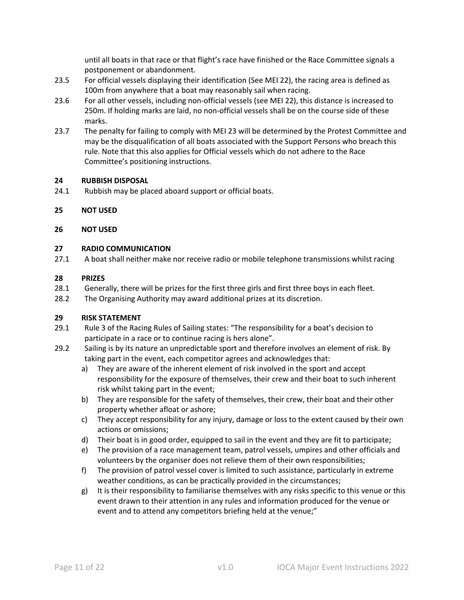until all boats in that race or that flight's race have finished or the Race Committee signals a postponement or abandonment.

- 23.5 For official vessels displaying their identification (See MEI 22), the racing area is defined as 100m from anywhere that a boat may reasonably sail when racing.
- 23.6 For all other vessels, including non-official vessels (see MEI 22), this distance is increased to 250m. If holding marks are laid, no non-official vessels shall be on the course side of these marks.
- 23.7 The penalty for failing to comply with MEI 23 will be determined by the Protest Committee and may be the disqualification of all boats associated with the Support Persons who breach this rule. Note that this also applies for Official vessels which do not adhere to the Race Committee's positioning instructions.

## **24 RUBBISH DISPOSAL**

- 24.1 Rubbish may be placed aboard support or official boats.
- **25 NOT USED**

## **26 NOT USED**

## **27 RADIO COMMUNICATION**

27.1 A boat shall neither make nor receive radio or mobile telephone transmissions whilst racing

## **28 PRIZES**

- 28.1 Generally, there will be prizes for the first three girls and first three boys in each fleet.
- 28.2 The Organising Authority may award additional prizes at its discretion.

## **29 RISK STATEMENT**

- 29.1 Rule 3 of the Racing Rules of Sailing states: "The responsibility for a boat's decision to participate in a race or to continue racing is hers alone".
- 29.2 Sailing is by its nature an unpredictable sport and therefore involves an element of risk. By taking part in the event, each competitor agrees and acknowledges that:
	- a) They are aware of the inherent element of risk involved in the sport and accept responsibility for the exposure of themselves, their crew and their boat to such inherent risk whilst taking part in the event;
	- b) They are responsible for the safety of themselves, their crew, their boat and their other property whether afloat or ashore;
	- c) They accept responsibility for any injury, damage or loss to the extent caused by their own actions or omissions;
	- d) Their boat is in good order, equipped to sail in the event and they are fit to participate;
	- e) The provision of a race management team, patrol vessels, umpires and other officials and volunteers by the organiser does not relieve them of their own responsibilities;
	- f) The provision of patrol vessel cover is limited to such assistance, particularly in extreme weather conditions, as can be practically provided in the circumstances;
	- g) It is their responsibility to familiarise themselves with any risks specific to this venue or this event drawn to their attention in any rules and information produced for the venue or event and to attend any competitors briefing held at the venue;"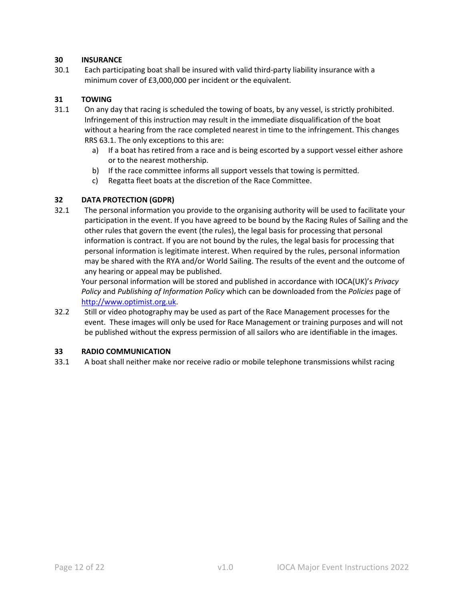## **30 INSURANCE**

30.1 Each participating boat shall be insured with valid third-party liability insurance with a minimum cover of £3,000,000 per incident or the equivalent.

## **31 TOWING**

- 31.1 On any day that racing is scheduled the towing of boats, by any vessel, is strictly prohibited. Infringement of this instruction may result in the immediate disqualification of the boat without a hearing from the race completed nearest in time to the infringement. This changes RRS 63.1. The only exceptions to this are:
	- a) If a boat has retired from a race and is being escorted by a support vessel either ashore or to the nearest mothership.
	- b) If the race committee informs all support vessels that towing is permitted.
	- c) Regatta fleet boats at the discretion of the Race Committee.

## **32 DATA PROTECTION (GDPR)**

32.1 The personal information you provide to the organising authority will be used to facilitate your participation in the event. If you have agreed to be bound by the Racing Rules of Sailing and the other rules that govern the event (the rules), the legal basis for processing that personal information is contract. If you are not bound by the rules, the legal basis for processing that personal information is legitimate interest. When required by the rules, personal information may be shared with the RYA and/or World Sailing. The results of the event and the outcome of any hearing or appeal may be published.

Your personal information will be stored and published in accordance with IOCA(UK)'s *Privacy Policy* and *Publishing of Information Policy* which can be downloaded from the *Policies* page of http://www.optimist.org.uk.

32.2 Still or video photography may be used as part of the Race Management processes for the event. These images will only be used for Race Management or training purposes and will not be published without the express permission of all sailors who are identifiable in the images.

## **33 RADIO COMMUNICATION**

33.1 A boat shall neither make nor receive radio or mobile telephone transmissions whilst racing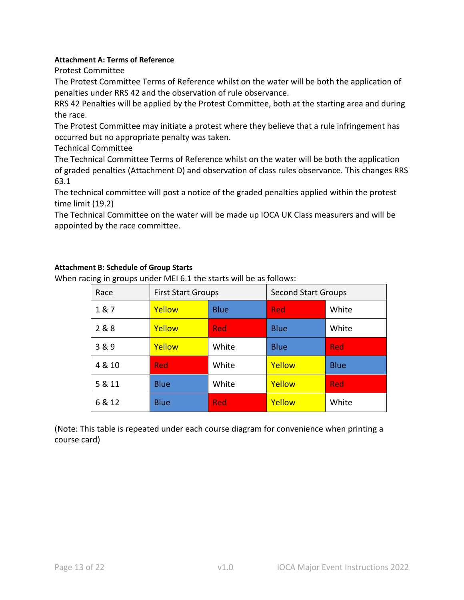## **Attachment A: Terms of Reference**

Protest Committee

The Protest Committee Terms of Reference whilst on the water will be both the application of penalties under RRS 42 and the observation of rule observance.

RRS 42 Penalties will be applied by the Protest Committee, both at the starting area and during the race.

The Protest Committee may initiate a protest where they believe that a rule infringement has occurred but no appropriate penalty was taken.

Technical Committee

The Technical Committee Terms of Reference whilst on the water will be both the application of graded penalties (Attachment D) and observation of class rules observance. This changes RRS 63.1

The technical committee will post a notice of the graded penalties applied within the protest time limit (19.2)

The Technical Committee on the water will be made up IOCA UK Class measurers and will be appointed by the race committee.

## **Attachment B: Schedule of Group Starts**

When racing in groups under MEI 6.1 the starts will be as follows:

| Race   | <b>First Start Groups</b> |             | <b>Second Start Groups</b> |             |
|--------|---------------------------|-------------|----------------------------|-------------|
| 1&7    | Yellow                    | <b>Blue</b> | <b>Red</b>                 | White       |
| 2 & 8  | Yellow                    | <b>Red</b>  | <b>Blue</b>                | White       |
| 3 & 9  | Yellow                    | White       | <b>Blue</b>                | Red         |
| 4 & 10 | <b>Red</b>                | White       | Yellow                     | <b>Blue</b> |
| 5 & 11 | <b>Blue</b>               | White       | Yellow                     | <b>Red</b>  |
| 6 & 12 | <b>Blue</b>               | <b>Red</b>  | Yellow                     | White       |

(Note: This table is repeated under each course diagram for convenience when printing a course card)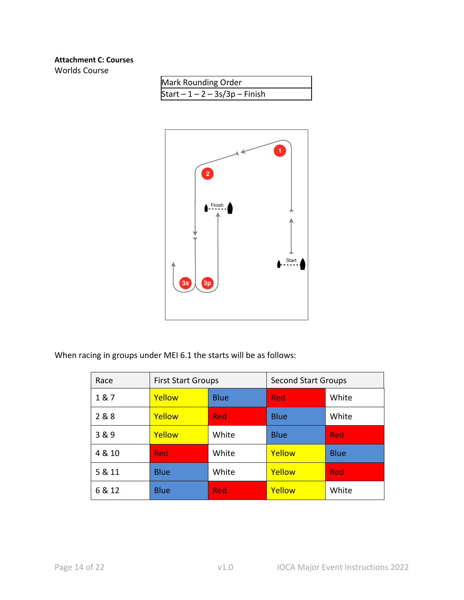# **Attachment C: Courses**

Worlds Course

| Mark Rounding Order              |
|----------------------------------|
| Start $-1 - 2 - 3s/3p - F$ inish |



| Race   | <b>First Start Groups</b> |             | <b>Second Start Groups</b> |             |
|--------|---------------------------|-------------|----------------------------|-------------|
| 1&7    | Yellow                    | <b>Blue</b> | Red                        | White       |
| 2 & 8  | Yellow                    | <b>Red</b>  | <b>Blue</b>                | White       |
| 3&9    | Yellow                    | White       | <b>Blue</b>                | <b>Red</b>  |
| 4 & 10 | Red                       | White       | Yellow                     | <b>Blue</b> |
| 5 & 11 | <b>Blue</b>               | White       | Yellow                     | <b>Red</b>  |
| 6 & 12 | <b>Blue</b>               | <b>Red</b>  | Yellow                     | White       |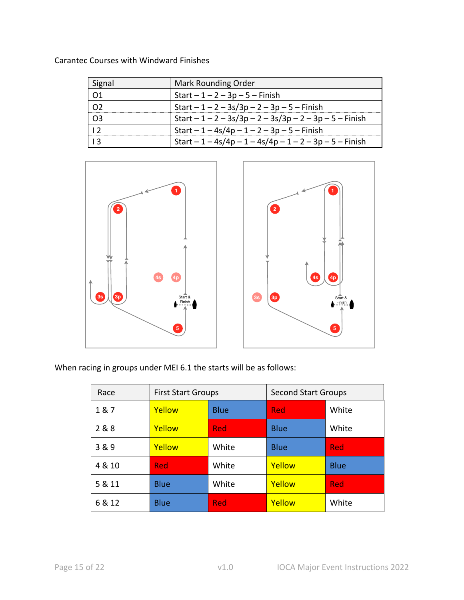| Signal         | Mark Rounding Order                                       |
|----------------|-----------------------------------------------------------|
| 01             | Start $-1 - 2 - 3p - 5 -$ Finish                          |
|                | Start $-1 - 2 - 3s/3p - 2 - 3p - 5 - F$ inish             |
| O <sub>3</sub> | Start $-1 - 2 - 3s/3p - 2 - 3s/3p - 2 - 3p - 5 - F$ inish |
| $\overline{1}$ | Start $-1 - 4s/4p - 1 - 2 - 3p - 5 - F$ inish             |
|                | Start $-1 - 4s/4p - 1 - 4s/4p - 1 - 2 - 3p - 5 - F$ inish |

Carantec Courses with Windward Finishes



| Race   | <b>First Start Groups</b> |             | <b>Second Start Groups</b> |             |
|--------|---------------------------|-------------|----------------------------|-------------|
| 1&7    | Yellow                    | <b>Blue</b> | <b>Red</b>                 | White       |
| 2 & 8  | Yellow                    | <b>Red</b>  | <b>Blue</b>                | White       |
| 3&9    | Yellow                    | White       | <b>Blue</b>                | <b>Red</b>  |
| 4 & 10 | <b>Red</b>                | White       | Yellow                     | <b>Blue</b> |
| 5 & 11 | <b>Blue</b>               | White       | Yellow                     | <b>Red</b>  |
| 6 & 12 | <b>Blue</b>               | <b>Red</b>  | Yellow                     | White       |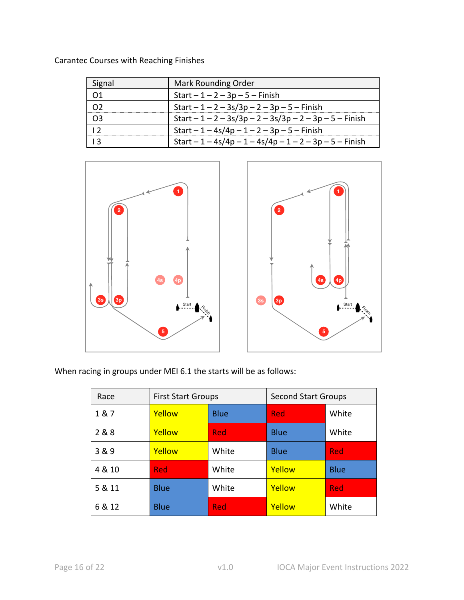| Signal         | <b>Mark Rounding Order</b>                                |
|----------------|-----------------------------------------------------------|
|                | $Start - 1 - 2 - 3p - 5 - Finish$                         |
|                | Start $-1 - 2 - 3s/3p - 2 - 3p - 5 - F$ inish             |
|                | Start $-1 - 2 - 3s/3p - 2 - 3s/3p - 2 - 3p - 5 - F$ inish |
| $\overline{1}$ | Start $-1 - 4s/4p - 1 - 2 - 3p - 5 - F$ inish             |
|                | Start $-1 - 4s/4p - 1 - 4s/4p - 1 - 2 - 3p - 5 - F$ inish |

Carantec Courses with Reaching Finishes



| Race   | <b>First Start Groups</b> |             | <b>Second Start Groups</b> |             |
|--------|---------------------------|-------------|----------------------------|-------------|
| 1&7    | Yellow                    | <b>Blue</b> | <b>Red</b>                 | White       |
| 2 & 8  | Yellow                    | <b>Red</b>  | <b>Blue</b>                | White       |
| 3&9    | Yellow                    | White       | <b>Blue</b>                | <b>Red</b>  |
| 4 & 10 | Red                       | White       | Yellow                     | <b>Blue</b> |
| 5 & 11 | <b>Blue</b>               | White       | Yellow                     | <b>Red</b>  |
| 6 & 12 | <b>Blue</b>               | <b>Red</b>  | Yellow                     | White       |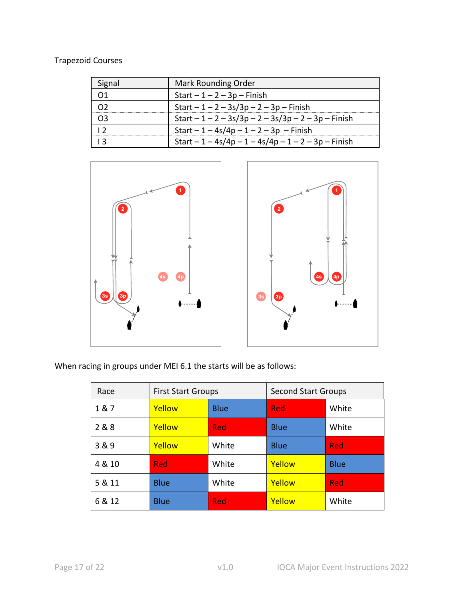# Trapezoid Courses

| Signal         | <b>Mark Rounding Order</b>                           |  |
|----------------|------------------------------------------------------|--|
|                | Start $-1-2-3p$ – Finish                             |  |
|                | Start $-1 - 2 - 3s/3p - 2 - 3p$ – Finish             |  |
|                | Start $-1 - 2 - 3s/3p - 2 - 3s/3p - 2 - 3p$ – Finish |  |
| $\overline{ }$ | Start $-1 - 4s/4p - 1 - 2 - 3p$ – Finish             |  |
|                | Start $-1 - 4s/4p - 1 - 4s/4p - 1 - 2 - 3p$ – Finish |  |



| Race   | <b>First Start Groups</b> |             | <b>Second Start Groups</b> |             |
|--------|---------------------------|-------------|----------------------------|-------------|
| 1&7    | Yellow                    | <b>Blue</b> | <b>Red</b>                 | White       |
| 2 & 8  | Yellow                    | <b>Red</b>  | <b>Blue</b>                | White       |
| 3 & 9  | Yellow                    | White       | <b>Blue</b>                | <b>Red</b>  |
| 4 & 10 | Red                       | White       | Yellow                     | <b>Blue</b> |
| 5 & 11 | <b>Blue</b>               | White       | Yellow                     | <b>Red</b>  |
| 6 & 12 | <b>Blue</b>               | <b>Red</b>  | Yellow                     | White       |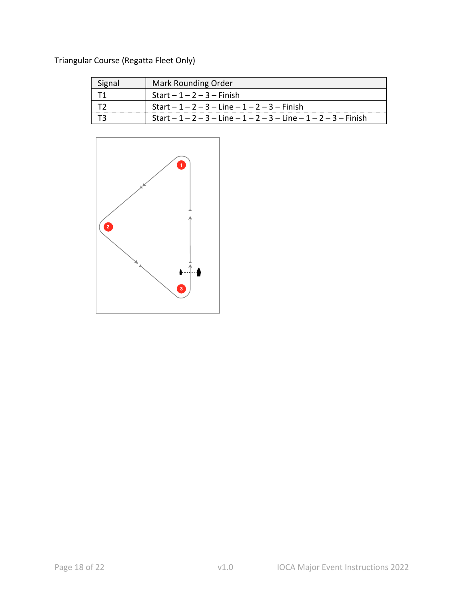# Triangular Course (Regatta Fleet Only)

| Signal | Mark Rounding Order                                     |  |  |
|--------|---------------------------------------------------------|--|--|
|        | Start $-1-2-3$ – Finish                                 |  |  |
|        | Start $-1 - 2 - 3 -$ Line $-1 - 2 - 3 -$ Finish         |  |  |
|        | Start $-1-2-3$ - Line $-1-2-3$ - Line $-1-2-3$ - Finish |  |  |

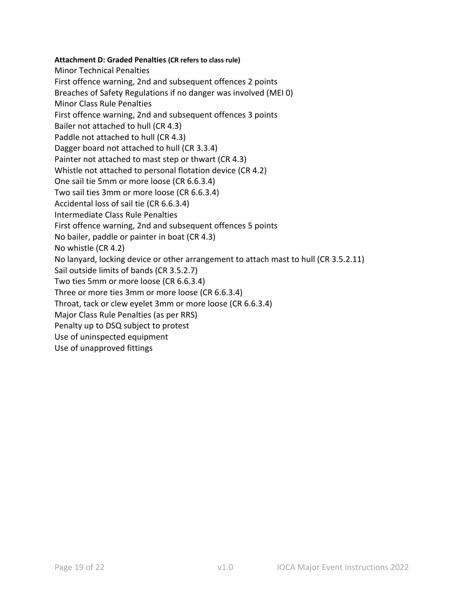## **Attachment D: Graded Penalties (CR refers to class rule)**

Minor Technical Penalties First offence warning, 2nd and subsequent offences 2 points Breaches of Safety Regulations if no danger was involved (MEI 0) Minor Class Rule Penalties First offence warning, 2nd and subsequent offences 3 points Bailer not attached to hull (CR 4.3) Paddle not attached to hull (CR 4.3) Dagger board not attached to hull (CR 3.3.4) Painter not attached to mast step or thwart (CR 4.3) Whistle not attached to personal flotation device (CR 4.2) One sail tie 5mm or more loose (CR 6.6.3.4) Two sail ties 3mm or more loose (CR 6.6.3.4) Accidental loss of sail tie (CR 6.6.3.4) Intermediate Class Rule Penalties First offence warning, 2nd and subsequent offences 5 points No bailer, paddle or painter in boat (CR 4.3) No whistle (CR 4.2) No lanyard, locking device or other arrangement to attach mast to hull (CR 3.5.2.11) Sail outside limits of bands (CR 3.5.2.7) Two ties 5mm or more loose (CR 6.6.3.4) Three or more ties 3mm or more loose (CR 6.6.3.4) Throat, tack or clew eyelet 3mm or more loose (CR 6.6.3.4) Major Class Rule Penalties (as per RRS) Penalty up to DSQ subject to protest Use of uninspected equipment Use of unapproved fittings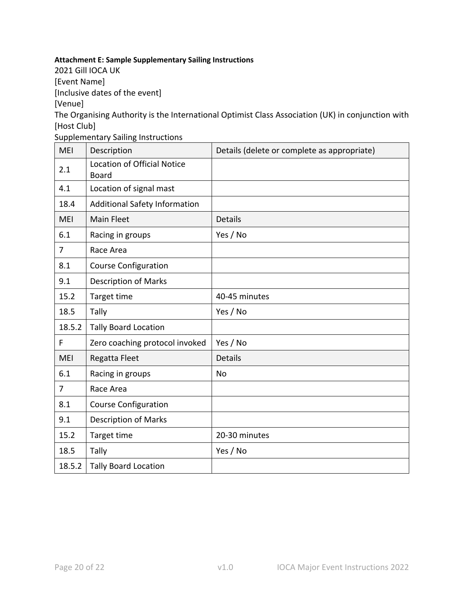# **Attachment E: Sample Supplementary Sailing Instructions**

2021 Gill IOCA UK

[Event Name]

[Inclusive dates of the event]

[Venue]

The Organising Authority is the International Optimist Class Association (UK) in conjunction with [Host Club]

Supplementary Sailing Instructions

| <b>MEI</b>     | Description                                        | Details (delete or complete as appropriate) |
|----------------|----------------------------------------------------|---------------------------------------------|
| 2.1            | <b>Location of Official Notice</b><br><b>Board</b> |                                             |
| 4.1            | Location of signal mast                            |                                             |
| 18.4           | <b>Additional Safety Information</b>               |                                             |
| <b>MEI</b>     | Main Fleet                                         | <b>Details</b>                              |
| 6.1            | Racing in groups                                   | Yes / No                                    |
| $\overline{7}$ | Race Area                                          |                                             |
| 8.1            | <b>Course Configuration</b>                        |                                             |
| 9.1            | <b>Description of Marks</b>                        |                                             |
| 15.2           | Target time                                        | 40-45 minutes                               |
| 18.5           | Tally                                              | Yes / No                                    |
| 18.5.2         | <b>Tally Board Location</b>                        |                                             |
| F              | Zero coaching protocol invoked                     | Yes / No                                    |
| <b>MEI</b>     | Regatta Fleet                                      | <b>Details</b>                              |
| 6.1            | Racing in groups                                   | No                                          |
| $\overline{7}$ | Race Area                                          |                                             |
| 8.1            | <b>Course Configuration</b>                        |                                             |
| 9.1            | <b>Description of Marks</b>                        |                                             |
| 15.2           | Target time                                        | 20-30 minutes                               |
| 18.5           | Tally                                              | Yes / No                                    |
| 18.5.2         | <b>Tally Board Location</b>                        |                                             |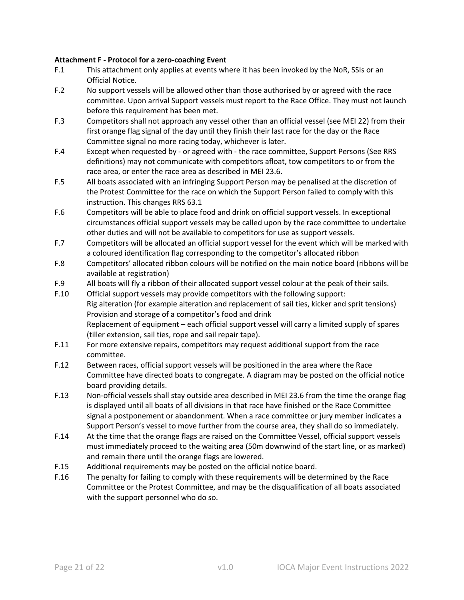## **Attachment F - Protocol for a zero-coaching Event**

- F.1 This attachment only applies at events where it has been invoked by the NoR, SSIs or an Official Notice.
- F.2 No support vessels will be allowed other than those authorised by or agreed with the race committee. Upon arrival Support vessels must report to the Race Office. They must not launch before this requirement has been met.
- F.3 Competitors shall not approach any vessel other than an official vessel (see MEI 22) from their first orange flag signal of the day until they finish their last race for the day or the Race Committee signal no more racing today, whichever is later.
- F.4 Except when requested by or agreed with the race committee, Support Persons (See RRS definitions) may not communicate with competitors afloat, tow competitors to or from the race area, or enter the race area as described in MEI 23.6.
- F.5 All boats associated with an infringing Support Person may be penalised at the discretion of the Protest Committee for the race on which the Support Person failed to comply with this instruction. This changes RRS 63.1
- F.6 Competitors will be able to place food and drink on official support vessels. In exceptional circumstances official support vessels may be called upon by the race committee to undertake other duties and will not be available to competitors for use as support vessels.
- F.7 Competitors will be allocated an official support vessel for the event which will be marked with a coloured identification flag corresponding to the competitor's allocated ribbon
- F.8 Competitors' allocated ribbon colours will be notified on the main notice board (ribbons will be available at registration)
- F.9 All boats will fly a ribbon of their allocated support vessel colour at the peak of their sails.
- F.10 Official support vessels may provide competitors with the following support: Rig alteration (for example alteration and replacement of sail ties, kicker and sprit tensions) Provision and storage of a competitor's food and drink Replacement of equipment – each official support vessel will carry a limited supply of spares (tiller extension, sail ties, rope and sail repair tape).
- F.11 For more extensive repairs, competitors may request additional support from the race committee.
- F.12 Between races, official support vessels will be positioned in the area where the Race Committee have directed boats to congregate. A diagram may be posted on the official notice board providing details.
- F.13 Non-official vessels shall stay outside area described in MEI 23.6 from the time the orange flag is displayed until all boats of all divisions in that race have finished or the Race Committee signal a postponement or abandonment. When a race committee or jury member indicates a Support Person's vessel to move further from the course area, they shall do so immediately.
- F.14 At the time that the orange flags are raised on the Committee Vessel, official support vessels must immediately proceed to the waiting area (50m downwind of the start line, or as marked) and remain there until the orange flags are lowered.
- F.15 Additional requirements may be posted on the official notice board.
- F.16 The penalty for failing to comply with these requirements will be determined by the Race Committee or the Protest Committee, and may be the disqualification of all boats associated with the support personnel who do so.